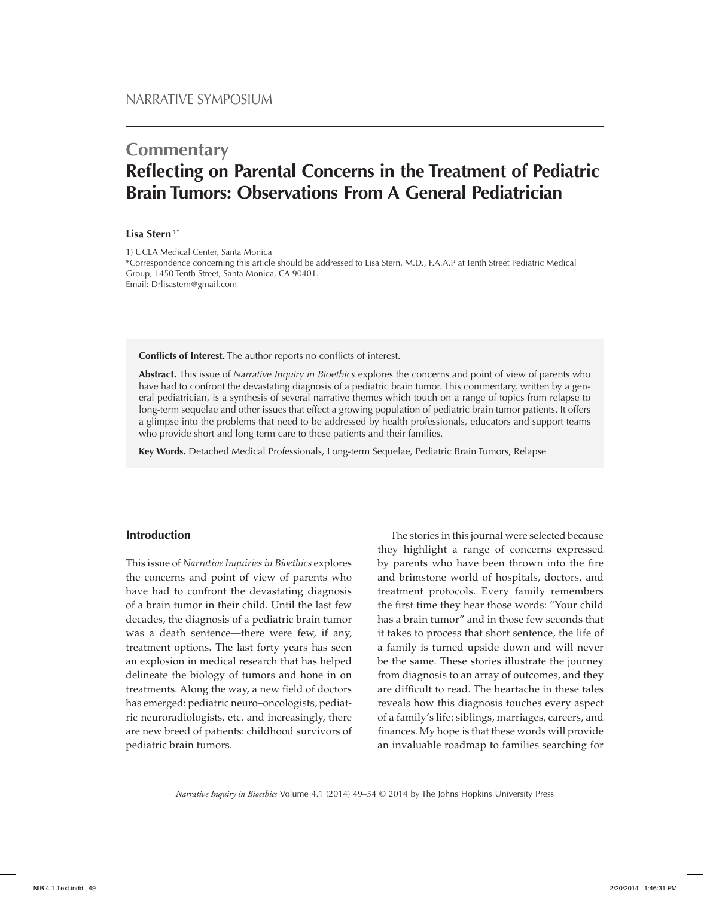# **Commentary Reflecting on Parental Concerns in the Treatment of Pediatric Brain Tumors: Observations From A General Pediatrician**

## **Lisa Stern 1\***

1) UCLA Medical Center, Santa Monica \*Correspondence concerning this article should be addressed to Lisa Stern, M.D., F.A.A.P at Tenth Street Pediatric Medical Group, 1450 Tenth Street, Santa Monica, CA 90401. Email: Drlisastern@gmail.com

**Conflicts of Interest.** The author reports no conflicts of interest.

**Abstract.** This issue of *Narrative Inquiry in Bioethics* explores the concerns and point of view of parents who have had to confront the devastating diagnosis of a pediatric brain tumor. This commentary, written by a general pediatrician, is a synthesis of several narrative themes which touch on a range of topics from relapse to long-term sequelae and other issues that effect a growing population of pediatric brain tumor patients. It offers a glimpse into the problems that need to be addressed by health professionals, educators and support teams who provide short and long term care to these patients and their families.

**Key Words.** Detached Medical Professionals, Long-term Sequelae, Pediatric Brain Tumors, Relapse

#### **Introduction**

This issue of *Narrative Inquiries in Bioethics* explores the concerns and point of view of parents who have had to confront the devastating diagnosis of a brain tumor in their child. Until the last few decades, the diagnosis of a pediatric brain tumor was a death sentence—there were few, if any, treatment options. The last forty years has seen an explosion in medical research that has helped delineate the biology of tumors and hone in on treatments. Along the way, a new field of doctors has emerged: pediatric neuro–oncologists, pediatric neuroradiologists, etc. and increasingly, there are new breed of patients: childhood survivors of pediatric brain tumors.

The stories in this journal were selected because they highlight a range of concerns expressed by parents who have been thrown into the fire and brimstone world of hospitals, doctors, and treatment protocols. Every family remembers the first time they hear those words: "Your child has a brain tumor" and in those few seconds that it takes to process that short sentence, the life of a family is turned upside down and will never be the same. These stories illustrate the journey from diagnosis to an array of outcomes, and they are difficult to read. The heartache in these tales reveals how this diagnosis touches every aspect of a family's life: siblings, marriages, careers, and finances. My hope is that these words will provide an invaluable roadmap to families searching for

*Narrative Inquiry in Bioethics* Volume 4.1 (2014) 49–54 © 2014 by The Johns Hopkins University Press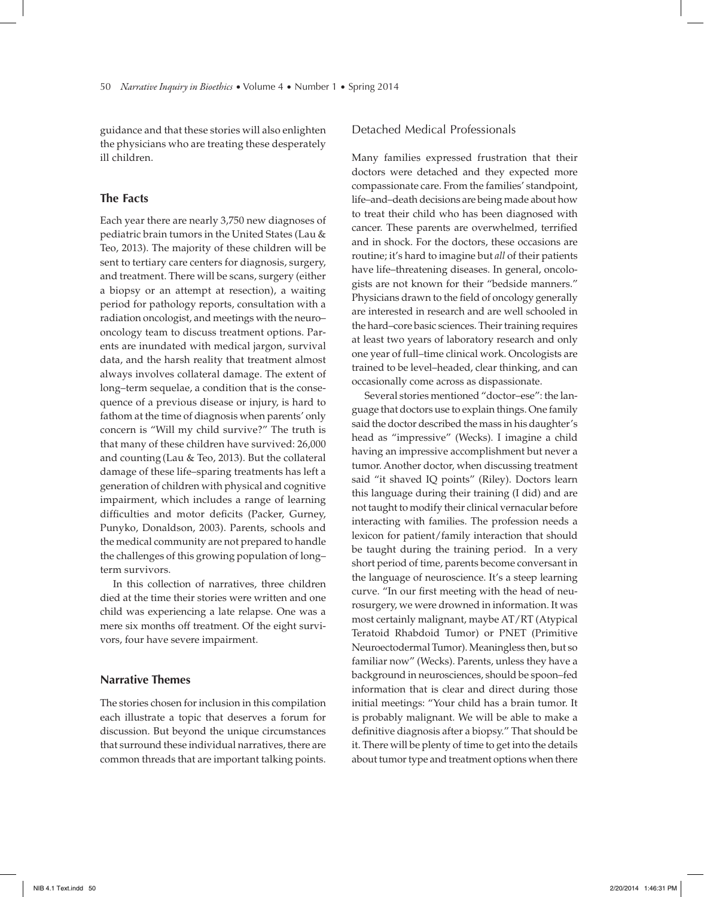guidance and that these stories will also enlighten the physicians who are treating these desperately ill children.

# **The Facts**

Each year there are nearly 3,750 new diagnoses of pediatric brain tumors in the United States (Lau & Teo, 2013). The majority of these children will be sent to tertiary care centers for diagnosis, surgery, and treatment. There will be scans, surgery (either a biopsy or an attempt at resection), a waiting period for pathology reports, consultation with a radiation oncologist, and meetings with the neuro– oncology team to discuss treatment options. Parents are inundated with medical jargon, survival data, and the harsh reality that treatment almost always involves collateral damage. The extent of long–term sequelae, a condition that is the consequence of a previous disease or injury, is hard to fathom at the time of diagnosis when parents' only concern is "Will my child survive?" The truth is that many of these children have survived: 26,000 and counting (Lau & Teo, 2013). But the collateral damage of these life–sparing treatments has left a generation of children with physical and cognitive impairment, which includes a range of learning difficulties and motor deficits (Packer, Gurney, Punyko, Donaldson, 2003). Parents, schools and the medical community are not prepared to handle the challenges of this growing population of long– term survivors.

In this collection of narratives, three children died at the time their stories were written and one child was experiencing a late relapse. One was a mere six months off treatment. Of the eight survivors, four have severe impairment.

# **Narrative Themes**

The stories chosen for inclusion in this compilation each illustrate a topic that deserves a forum for discussion. But beyond the unique circumstances that surround these individual narratives, there are common threads that are important talking points.

## Detached Medical Professionals

Many families expressed frustration that their doctors were detached and they expected more compassionate care. From the families' standpoint, life–and–death decisions are being made about how to treat their child who has been diagnosed with cancer. These parents are overwhelmed, terrified and in shock. For the doctors, these occasions are routine; it's hard to imagine but *all* of their patients have life–threatening diseases. In general, oncologists are not known for their "bedside manners." Physicians drawn to the field of oncology generally are interested in research and are well schooled in the hard–core basic sciences. Their training requires at least two years of laboratory research and only one year of full–time clinical work. Oncologists are trained to be level–headed, clear thinking, and can occasionally come across as dispassionate.

Several stories mentioned "doctor–ese": the language that doctors use to explain things. One family said the doctor described the mass in his daughter's head as "impressive" (Wecks). I imagine a child having an impressive accomplishment but never a tumor. Another doctor, when discussing treatment said "it shaved IQ points" (Riley). Doctors learn this language during their training (I did) and are not taught to modify their clinical vernacular before interacting with families. The profession needs a lexicon for patient/family interaction that should be taught during the training period. In a very short period of time, parents become conversant in the language of neuroscience. It's a steep learning curve. "In our first meeting with the head of neurosurgery, we were drowned in information. It was most certainly malignant, maybe AT/RT (Atypical Teratoid Rhabdoid Tumor) or PNET (Primitive Neuroectodermal Tumor). Meaningless then, but so familiar now" (Wecks). Parents, unless they have a background in neurosciences, should be spoon–fed information that is clear and direct during those initial meetings: "Your child has a brain tumor. It is probably malignant. We will be able to make a definitive diagnosis after a biopsy." That should be it. There will be plenty of time to get into the details about tumor type and treatment options when there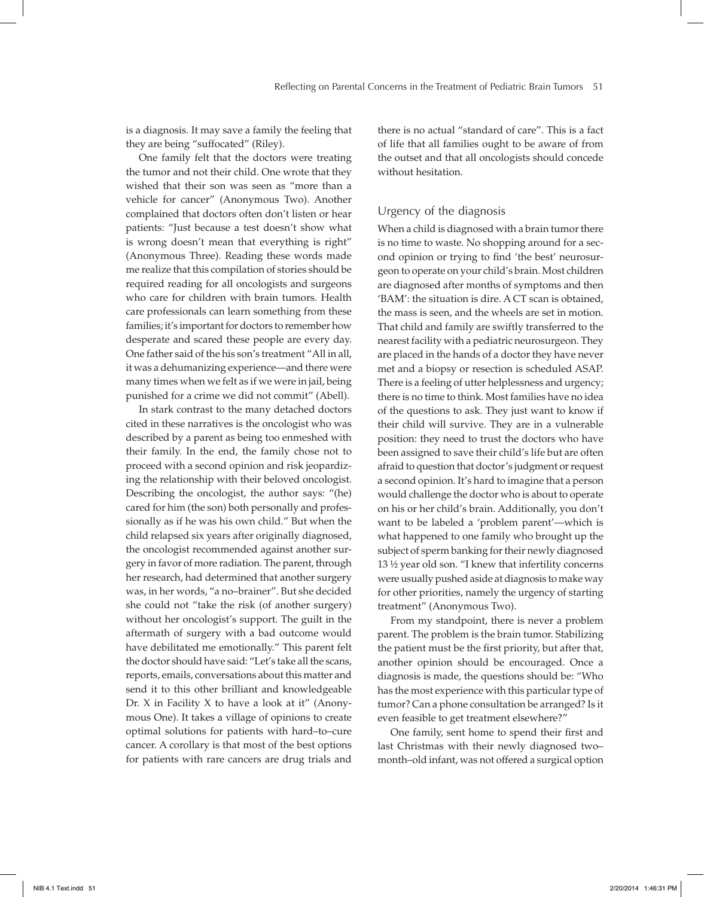is a diagnosis. It may save a family the feeling that they are being "suffocated" (Riley).

One family felt that the doctors were treating the tumor and not their child. One wrote that they wished that their son was seen as "more than a vehicle for cancer" (Anonymous Two). Another complained that doctors often don't listen or hear patients: "Just because a test doesn't show what is wrong doesn't mean that everything is right" (Anonymous Three). Reading these words made me realize that this compilation of stories should be required reading for all oncologists and surgeons who care for children with brain tumors. Health care professionals can learn something from these families; it's important for doctors to remember how desperate and scared these people are every day. One father said of the his son's treatment "All in all, it was a dehumanizing experience—and there were many times when we felt as if we were in jail, being punished for a crime we did not commit" (Abell).

In stark contrast to the many detached doctors cited in these narratives is the oncologist who was described by a parent as being too enmeshed with their family. In the end, the family chose not to proceed with a second opinion and risk jeopardizing the relationship with their beloved oncologist. Describing the oncologist, the author says: "(he) cared for him (the son) both personally and professionally as if he was his own child." But when the child relapsed six years after originally diagnosed, the oncologist recommended against another surgery in favor of more radiation. The parent, through her research, had determined that another surgery was, in her words, "a no–brainer". But she decided she could not "take the risk (of another surgery) without her oncologist's support. The guilt in the aftermath of surgery with a bad outcome would have debilitated me emotionally." This parent felt the doctor should have said: "Let's take all the scans, reports, emails, conversations about this matter and send it to this other brilliant and knowledgeable Dr. X in Facility X to have a look at it" (Anonymous One). It takes a village of opinions to create optimal solutions for patients with hard–to–cure cancer. A corollary is that most of the best options for patients with rare cancers are drug trials and

there is no actual "standard of care". This is a fact of life that all families ought to be aware of from the outset and that all oncologists should concede without hesitation.

# Urgency of the diagnosis

When a child is diagnosed with a brain tumor there is no time to waste. No shopping around for a second opinion or trying to find 'the best' neurosurgeon to operate on your child's brain. Most children are diagnosed after months of symptoms and then 'BAM': the situation is dire. A CT scan is obtained, the mass is seen, and the wheels are set in motion. That child and family are swiftly transferred to the nearest facility with a pediatric neurosurgeon. They are placed in the hands of a doctor they have never met and a biopsy or resection is scheduled ASAP. There is a feeling of utter helplessness and urgency; there is no time to think. Most families have no idea of the questions to ask. They just want to know if their child will survive. They are in a vulnerable position: they need to trust the doctors who have been assigned to save their child's life but are often afraid to question that doctor's judgment or request a second opinion. It's hard to imagine that a person would challenge the doctor who is about to operate on his or her child's brain. Additionally, you don't want to be labeled a 'problem parent'—which is what happened to one family who brought up the subject of sperm banking for their newly diagnosed 13 ½ year old son. "I knew that infertility concerns were usually pushed aside at diagnosis to make way for other priorities, namely the urgency of starting treatment" (Anonymous Two).

From my standpoint, there is never a problem parent. The problem is the brain tumor. Stabilizing the patient must be the first priority, but after that, another opinion should be encouraged. Once a diagnosis is made, the questions should be: "Who has the most experience with this particular type of tumor? Can a phone consultation be arranged? Is it even feasible to get treatment elsewhere?"

One family, sent home to spend their first and last Christmas with their newly diagnosed two– month–old infant, was not offered a surgical option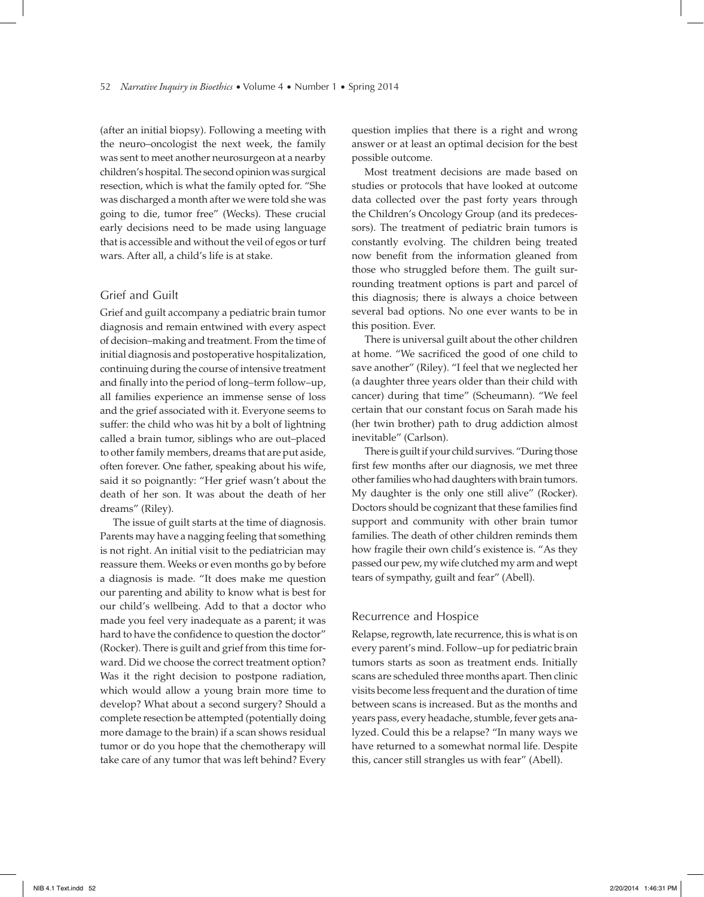(after an initial biopsy). Following a meeting with the neuro–oncologist the next week, the family was sent to meet another neurosurgeon at a nearby children's hospital. The second opinion was surgical resection, which is what the family opted for. "She was discharged a month after we were told she was going to die, tumor free" (Wecks). These crucial early decisions need to be made using language that is accessible and without the veil of egos or turf wars. After all, a child's life is at stake.

#### Grief and Guilt

Grief and guilt accompany a pediatric brain tumor diagnosis and remain entwined with every aspect of decision–making and treatment. From the time of initial diagnosis and postoperative hospitalization, continuing during the course of intensive treatment and finally into the period of long-term follow-up, all families experience an immense sense of loss and the grief associated with it. Everyone seems to suffer: the child who was hit by a bolt of lightning called a brain tumor, siblings who are out–placed to other family members, dreams that are put aside, often forever. One father, speaking about his wife, said it so poignantly: "Her grief wasn't about the death of her son. It was about the death of her dreams" (Riley).

The issue of guilt starts at the time of diagnosis. Parents may have a nagging feeling that something is not right. An initial visit to the pediatrician may reassure them. Weeks or even months go by before a diagnosis is made. "It does make me question our parenting and ability to know what is best for our child's wellbeing. Add to that a doctor who made you feel very inadequate as a parent; it was hard to have the confidence to question the doctor" (Rocker). There is guilt and grief from this time forward. Did we choose the correct treatment option? Was it the right decision to postpone radiation, which would allow a young brain more time to develop? What about a second surgery? Should a complete resection be attempted (potentially doing more damage to the brain) if a scan shows residual tumor or do you hope that the chemotherapy will take care of any tumor that was left behind? Every question implies that there is a right and wrong answer or at least an optimal decision for the best possible outcome.

Most treatment decisions are made based on studies or protocols that have looked at outcome data collected over the past forty years through the Children's Oncology Group (and its predecessors). The treatment of pediatric brain tumors is constantly evolving. The children being treated now benefit from the information gleaned from those who struggled before them. The guilt surrounding treatment options is part and parcel of this diagnosis; there is always a choice between several bad options. No one ever wants to be in this position. Ever.

There is universal guilt about the other children at home. "We sacrificed the good of one child to save another" (Riley). "I feel that we neglected her (a daughter three years older than their child with cancer) during that time" (Scheumann). "We feel certain that our constant focus on Sarah made his (her twin brother) path to drug addiction almost inevitable" (Carlson).

There is guilt if your child survives. "During those first few months after our diagnosis, we met three other families who had daughters with brain tumors. My daughter is the only one still alive" (Rocker). Doctors should be cognizant that these families find support and community with other brain tumor families. The death of other children reminds them how fragile their own child's existence is. "As they passed our pew, my wife clutched my arm and wept tears of sympathy, guilt and fear" (Abell).

#### Recurrence and Hospice

Relapse, regrowth, late recurrence, this is what is on every parent's mind. Follow–up for pediatric brain tumors starts as soon as treatment ends. Initially scans are scheduled three months apart. Then clinic visits become less frequent and the duration of time between scans is increased. But as the months and years pass, every headache, stumble, fever gets analyzed. Could this be a relapse? "In many ways we have returned to a somewhat normal life. Despite this, cancer still strangles us with fear" (Abell).